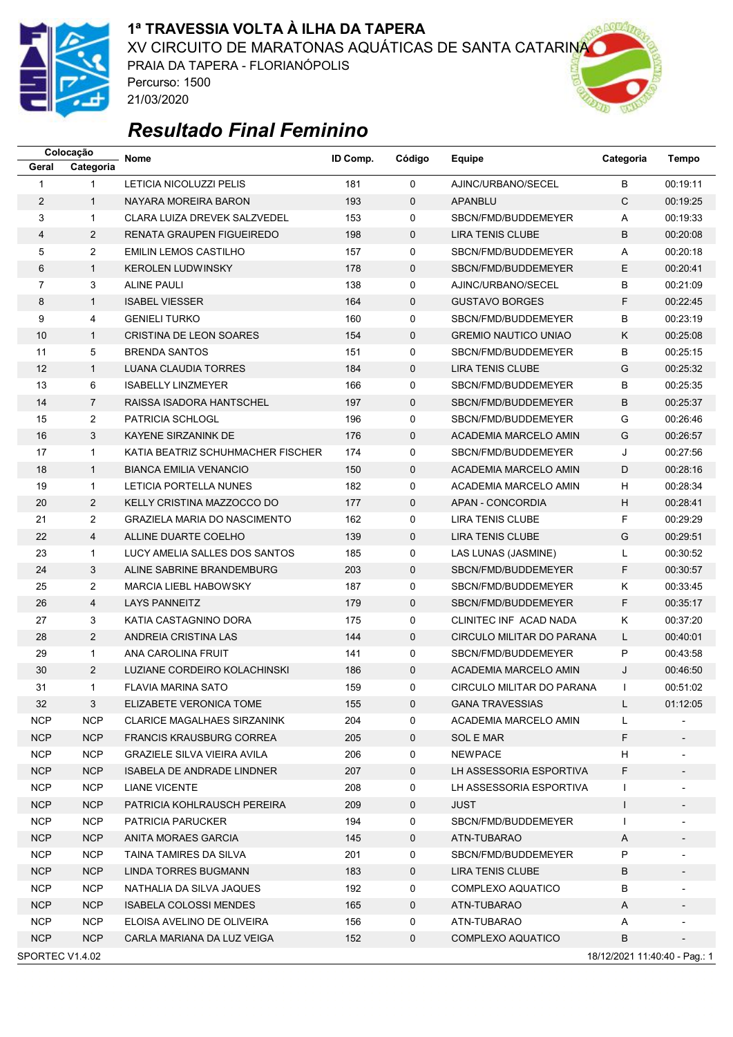

## **1ª TRAVESSIA VOLTA À ILHA DA TAPERA**

XV CIRCUITO DE MARATONAS AQUÁTICAS DE SANTA CATARINA

PRAIA DA TAPERA - FLORIANÓPOLIS Percurso: 1500 21/03/2020



## *Resultado Final Feminino*

|                 | Colocação      | <b>Nome</b>                         | ID Comp. | Código      | Equipe                       | Categoria                     | <b>Tempo</b>             |
|-----------------|----------------|-------------------------------------|----------|-------------|------------------------------|-------------------------------|--------------------------|
| Geral           | Categoria      |                                     |          |             |                              |                               |                          |
| $\mathbf{1}$    | $\mathbf{1}$   | LETICIA NICOLUZZI PELIS             | 181      | $\mathbf 0$ | AJINC/URBANO/SECEL           | B                             | 00:19:11                 |
| $\overline{2}$  | $\mathbf{1}$   | NAYARA MOREIRA BARON                | 193      | $\mathbf 0$ | <b>APANBLU</b>               | C                             | 00:19:25                 |
| 3               | $\mathbf{1}$   | <b>CLARA LUIZA DREVEK SALZVEDEL</b> | 153      | $\mathbf 0$ | SBCN/FMD/BUDDEMEYER          | A                             | 00:19:33                 |
| 4               | $\overline{2}$ | RENATA GRAUPEN FIGUEIREDO           | 198      | $\mathbf 0$ | <b>LIRA TENIS CLUBE</b>      | B                             | 00:20:08                 |
| 5               | $\overline{2}$ | <b>EMILIN LEMOS CASTILHO</b>        | 157      | 0           | SBCN/FMD/BUDDEMEYER          | Α                             | 00:20:18                 |
| 6               | $\mathbf{1}$   | <b>KEROLEN LUDWINSKY</b>            | 178      | 0           | SBCN/FMD/BUDDEMEYER          | E                             | 00:20:41                 |
| 7               | 3              | <b>ALINE PAULI</b>                  | 138      | 0           | AJINC/URBANO/SECEL           | В                             | 00:21:09                 |
| 8               | $\mathbf{1}$   | <b>ISABEL VIESSER</b>               | 164      | $\mathbf 0$ | <b>GUSTAVO BORGES</b>        | F                             | 00:22:45                 |
| 9               | 4              | <b>GENIELI TURKO</b>                | 160      | 0           | SBCN/FMD/BUDDEMEYER          | B                             | 00:23:19                 |
| 10              | $\mathbf{1}$   | <b>CRISTINA DE LEON SOARES</b>      | 154      | $\mathbf 0$ | <b>GREMIO NAUTICO UNIAO</b>  | Κ                             | 00:25:08                 |
| 11              | 5              | <b>BRENDA SANTOS</b>                | 151      | 0           | SBCN/FMD/BUDDEMEYER          | B                             | 00:25:15                 |
| 12              | $\mathbf{1}$   | LUANA CLAUDIA TORRES                | 184      | $\mathbf 0$ | LIRA TENIS CLUBE             | G                             | 00:25:32                 |
| 13              | 6              | <b>ISABELLY LINZMEYER</b>           | 166      | 0           | SBCN/FMD/BUDDEMEYER          | B                             | 00:25:35                 |
| 14              | $\overline{7}$ | RAISSA ISADORA HANTSCHEL            | 197      | $\mathbf 0$ | SBCN/FMD/BUDDEMEYER          | B                             | 00:25:37                 |
| 15              | $\overline{2}$ | PATRICIA SCHLOGL                    | 196      | 0           | SBCN/FMD/BUDDEMEYER          | G                             | 00:26:46                 |
| 16              | 3              | KAYENE SIRZANINK DE                 | 176      | $\mathbf 0$ | <b>ACADEMIA MARCELO AMIN</b> | G                             | 00:26:57                 |
| 17              | $\mathbf{1}$   | KATIA BEATRIZ SCHUHMACHER FISCHER   | 174      | 0           | SBCN/FMD/BUDDEMEYER          | J                             | 00:27:56                 |
| 18              | $\mathbf{1}$   | <b>BIANCA EMILIA VENANCIO</b>       | 150      | $\mathbf 0$ | <b>ACADEMIA MARCELO AMIN</b> | D                             | 00:28:16                 |
| 19              | $\mathbf{1}$   | <b>LETICIA PORTELLA NUNES</b>       | 182      | 0           | <b>ACADEMIA MARCELO AMIN</b> | H                             | 00:28:34                 |
| 20              | $\overline{2}$ | KELLY CRISTINA MAZZOCCO DO          | 177      | $\pmb{0}$   | APAN - CONCORDIA             | $\boldsymbol{\mathsf{H}}$     | 00:28:41                 |
| 21              | $\overline{2}$ | <b>GRAZIELA MARIA DO NASCIMENTO</b> | 162      | 0           | LIRA TENIS CLUBE             | F                             | 00:29:29                 |
| 22              | 4              | ALLINE DUARTE COELHO                | 139      | $\mathbf 0$ | <b>LIRA TENIS CLUBE</b>      | G                             | 00:29:51                 |
| 23              | $\mathbf{1}$   | LUCY AMELIA SALLES DOS SANTOS       | 185      | 0           | LAS LUNAS (JASMINE)          | Г                             | 00:30:52                 |
| 24              | 3              | ALINE SABRINE BRANDEMBURG           | 203      | $\mathbf 0$ | SBCN/FMD/BUDDEMEYER          | F                             | 00:30:57                 |
| 25              | $\overline{2}$ | <b>MARCIA LIEBL HABOWSKY</b>        | 187      | $\mathbf 0$ | SBCN/FMD/BUDDEMEYER          | K                             | 00:33:45                 |
| 26              | 4              | <b>LAYS PANNEITZ</b>                | 179      | $\mathbf 0$ | SBCN/FMD/BUDDEMEYER          | F                             | 00:35:17                 |
| 27              | 3              | KATIA CASTAGNINO DORA               | 175      | 0           | CLINITEC INF ACAD NADA       | K                             | 00:37:20                 |
| 28              | $\overline{2}$ | ANDREIA CRISTINA LAS                | 144      | $\mathbf 0$ | CIRCULO MILITAR DO PARANA    | L                             | 00:40:01                 |
| 29              | $\mathbf{1}$   | ANA CAROLINA FRUIT                  | 141      | 0           | SBCN/FMD/BUDDEMEYER          | P                             | 00:43:58                 |
| 30              | $\overline{2}$ | LUZIANE CORDEIRO KOLACHINSKI        | 186      | $\mathbf 0$ | ACADEMIA MARCELO AMIN        | J                             | 00:46:50                 |
| 31              | $\mathbf{1}$   | <b>FLAVIA MARINA SATO</b>           | 159      | 0           | CIRCULO MILITAR DO PARANA    | $\mathbf{I}$                  | 00:51:02                 |
| 32              | 3              | ELIZABETE VERONICA TOME             | 155      | 0           | <b>GANA TRAVESSIAS</b>       | L                             | 01:12:05                 |
| <b>NCP</b>      | <b>NCP</b>     | <b>CLARICE MAGALHAES SIRZANINK</b>  | 204      | 0           | ACADEMIA MARCELO AMIN        | L                             |                          |
| <b>NCP</b>      | <b>NCP</b>     | <b>FRANCIS KRAUSBURG CORREA</b>     | 205      | $\mathbf 0$ | SOL E MAR                    | F                             |                          |
| <b>NCP</b>      | <b>NCP</b>     | <b>GRAZIELE SILVA VIEIRA AVILA</b>  | 206      | 0           | <b>NEWPACE</b>               | H                             |                          |
| <b>NCP</b>      | <b>NCP</b>     | ISABELA DE ANDRADE LINDNER          | 207      | 0           | LH ASSESSORIA ESPORTIVA      | F                             |                          |
| <b>NCP</b>      | NCP            | <b>LIANE VICENTE</b>                | 208      | 0           | LH ASSESSORIA ESPORTIVA      | I.                            |                          |
| <b>NCP</b>      | <b>NCP</b>     | PATRICIA KOHLRAUSCH PEREIRA         | 209      | $\mathbf 0$ | JUST                         | T                             |                          |
| <b>NCP</b>      | <b>NCP</b>     | PATRICIA PARUCKER                   | 194      | 0           | SBCN/FMD/BUDDEMEYER          | $\mathbf{I}$                  |                          |
| <b>NCP</b>      | <b>NCP</b>     | ANITA MORAES GARCIA                 | 145      | $\mathbf 0$ | ATN-TUBARAO                  | A                             | $\overline{\phantom{m}}$ |
| <b>NCP</b>      | <b>NCP</b>     | TAINA TAMIRES DA SILVA              | 201      | 0           | SBCN/FMD/BUDDEMEYER          | P                             |                          |
| <b>NCP</b>      | <b>NCP</b>     | <b>LINDA TORRES BUGMANN</b>         | 183      | $\mathbf 0$ | LIRA TENIS CLUBE             | B                             |                          |
| <b>NCP</b>      | <b>NCP</b>     | NATHALIA DA SILVA JAQUES            | 192      | 0           | COMPLEXO AQUATICO            | В                             |                          |
| <b>NCP</b>      | NCP            | <b>ISABELA COLOSSI MENDES</b>       | 165      | 0           | ATN-TUBARAO                  | A                             |                          |
| <b>NCP</b>      | <b>NCP</b>     | ELOISA AVELINO DE OLIVEIRA          | 156      | 0           | ATN-TUBARAO                  | Α                             |                          |
| <b>NCP</b>      | <b>NCP</b>     | CARLA MARIANA DA LUZ VEIGA          | 152      | 0           | COMPLEXO AQUATICO            | B                             |                          |
| SPORTEC V1.4.02 |                |                                     |          |             |                              | 18/12/2021 11:40:40 - Pag.: 1 |                          |
|                 |                |                                     |          |             |                              |                               |                          |